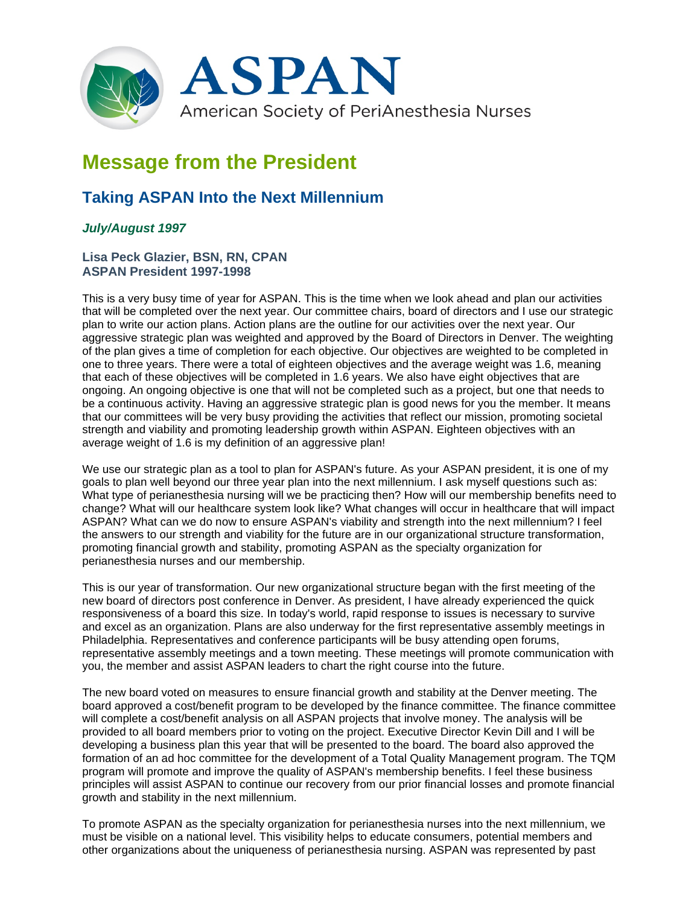

## **Message from the President**

## **Taking ASPAN Into the Next Millennium**

## *July/August 1997*

## **Lisa Peck Glazier, BSN, RN, CPAN ASPAN President 1997-1998**

This is a very busy time of year for ASPAN. This is the time when we look ahead and plan our activities that will be completed over the next year. Our committee chairs, board of directors and I use our strategic plan to write our action plans. Action plans are the outline for our activities over the next year. Our aggressive strategic plan was weighted and approved by the Board of Directors in Denver. The weighting of the plan gives a time of completion for each objective. Our objectives are weighted to be completed in one to three years. There were a total of eighteen objectives and the average weight was 1.6, meaning that each of these objectives will be completed in 1.6 years. We also have eight objectives that are ongoing. An ongoing objective is one that will not be completed such as a project, but one that needs to be a continuous activity. Having an aggressive strategic plan is good news for you the member. It means that our committees will be very busy providing the activities that reflect our mission, promoting societal strength and viability and promoting leadership growth within ASPAN. Eighteen objectives with an average weight of 1.6 is my definition of an aggressive plan!

We use our strategic plan as a tool to plan for ASPAN's future. As your ASPAN president, it is one of my goals to plan well beyond our three year plan into the next millennium. I ask myself questions such as: What type of perianesthesia nursing will we be practicing then? How will our membership benefits need to change? What will our healthcare system look like? What changes will occur in healthcare that will impact ASPAN? What can we do now to ensure ASPAN's viability and strength into the next millennium? I feel the answers to our strength and viability for the future are in our organizational structure transformation, promoting financial growth and stability, promoting ASPAN as the specialty organization for perianesthesia nurses and our membership.

This is our year of transformation. Our new organizational structure began with the first meeting of the new board of directors post conference in Denver. As president, I have already experienced the quick responsiveness of a board this size. In today's world, rapid response to issues is necessary to survive and excel as an organization. Plans are also underway for the first representative assembly meetings in Philadelphia. Representatives and conference participants will be busy attending open forums, representative assembly meetings and a town meeting. These meetings will promote communication with you, the member and assist ASPAN leaders to chart the right course into the future.

The new board voted on measures to ensure financial growth and stability at the Denver meeting. The board approved a cost/benefit program to be developed by the finance committee. The finance committee will complete a cost/benefit analysis on all ASPAN projects that involve money. The analysis will be provided to all board members prior to voting on the project. Executive Director Kevin Dill and I will be developing a business plan this year that will be presented to the board. The board also approved the formation of an ad hoc committee for the development of a Total Quality Management program. The TQM program will promote and improve the quality of ASPAN's membership benefits. I feel these business principles will assist ASPAN to continue our recovery from our prior financial losses and promote financial growth and stability in the next millennium.

To promote ASPAN as the specialty organization for perianesthesia nurses into the next millennium, we must be visible on a national level. This visibility helps to educate consumers, potential members and other organizations about the uniqueness of perianesthesia nursing. ASPAN was represented by past